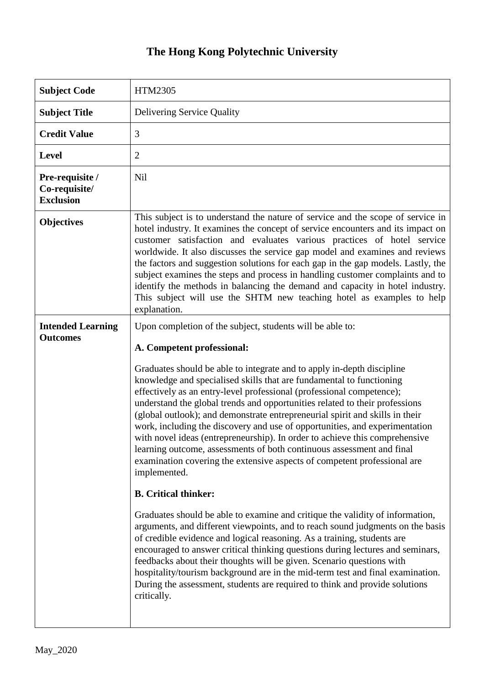# **The Hong Kong Polytechnic University**

| <b>Subject Code</b>                                  | HTM2305                                                                                                                                                                                                                                                                                                                                                                                                                                                                                                                                                                                                                                                                                                                                                                                                                                                                                                                                                                                                                                                                                                                                                                                                                                                                                                                                                                                                                                      |
|------------------------------------------------------|----------------------------------------------------------------------------------------------------------------------------------------------------------------------------------------------------------------------------------------------------------------------------------------------------------------------------------------------------------------------------------------------------------------------------------------------------------------------------------------------------------------------------------------------------------------------------------------------------------------------------------------------------------------------------------------------------------------------------------------------------------------------------------------------------------------------------------------------------------------------------------------------------------------------------------------------------------------------------------------------------------------------------------------------------------------------------------------------------------------------------------------------------------------------------------------------------------------------------------------------------------------------------------------------------------------------------------------------------------------------------------------------------------------------------------------------|
| <b>Subject Title</b>                                 | <b>Delivering Service Quality</b>                                                                                                                                                                                                                                                                                                                                                                                                                                                                                                                                                                                                                                                                                                                                                                                                                                                                                                                                                                                                                                                                                                                                                                                                                                                                                                                                                                                                            |
| <b>Credit Value</b>                                  | 3                                                                                                                                                                                                                                                                                                                                                                                                                                                                                                                                                                                                                                                                                                                                                                                                                                                                                                                                                                                                                                                                                                                                                                                                                                                                                                                                                                                                                                            |
| <b>Level</b>                                         | $\overline{2}$                                                                                                                                                                                                                                                                                                                                                                                                                                                                                                                                                                                                                                                                                                                                                                                                                                                                                                                                                                                                                                                                                                                                                                                                                                                                                                                                                                                                                               |
| Pre-requisite /<br>Co-requisite/<br><b>Exclusion</b> | <b>Nil</b>                                                                                                                                                                                                                                                                                                                                                                                                                                                                                                                                                                                                                                                                                                                                                                                                                                                                                                                                                                                                                                                                                                                                                                                                                                                                                                                                                                                                                                   |
| <b>Objectives</b>                                    | This subject is to understand the nature of service and the scope of service in<br>hotel industry. It examines the concept of service encounters and its impact on<br>customer satisfaction and evaluates various practices of hotel service<br>worldwide. It also discusses the service gap model and examines and reviews<br>the factors and suggestion solutions for each gap in the gap models. Lastly, the<br>subject examines the steps and process in handling customer complaints and to<br>identify the methods in balancing the demand and capacity in hotel industry.<br>This subject will use the SHTM new teaching hotel as examples to help<br>explanation.                                                                                                                                                                                                                                                                                                                                                                                                                                                                                                                                                                                                                                                                                                                                                                    |
| <b>Intended Learning</b><br><b>Outcomes</b>          | Upon completion of the subject, students will be able to:<br>A. Competent professional:<br>Graduates should be able to integrate and to apply in-depth discipline<br>knowledge and specialised skills that are fundamental to functioning<br>effectively as an entry-level professional (professional competence);<br>understand the global trends and opportunities related to their professions<br>(global outlook); and demonstrate entrepreneurial spirit and skills in their<br>work, including the discovery and use of opportunities, and experimentation<br>with novel ideas (entrepreneurship). In order to achieve this comprehensive<br>learning outcome, assessments of both continuous assessment and final<br>examination covering the extensive aspects of competent professional are<br>implemented.<br><b>B.</b> Critical thinker:<br>Graduates should be able to examine and critique the validity of information,<br>arguments, and different viewpoints, and to reach sound judgments on the basis<br>of credible evidence and logical reasoning. As a training, students are<br>encouraged to answer critical thinking questions during lectures and seminars,<br>feedbacks about their thoughts will be given. Scenario questions with<br>hospitality/tourism background are in the mid-term test and final examination.<br>During the assessment, students are required to think and provide solutions<br>critically. |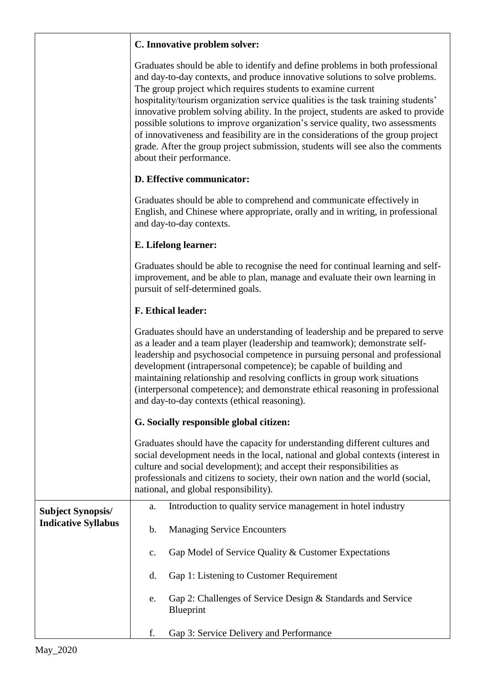### **C. Innovative problem solver:**

Graduates should be able to identify and define problems in both professional and day-to-day contexts, and produce innovative solutions to solve problems. The group project which requires students to examine current hospitality/tourism organization service qualities is the task training students' innovative problem solving ability. In the project, students are asked to provide possible solutions to improve organization's service quality, two assessments of innovativeness and feasibility are in the considerations of the group project grade. After the group project submission, students will see also the comments about their performance.

## **D. Effective communicator:**

Graduates should be able to comprehend and communicate effectively in English, and Chinese where appropriate, orally and in writing, in professional and day-to-day contexts.

#### **E. Lifelong learner:**

Graduates should be able to recognise the need for continual learning and selfimprovement, and be able to plan, manage and evaluate their own learning in pursuit of self-determined goals.

#### **F. Ethical leader:**

|                                                        | Graduates should have an understanding of leadership and be prepared to serve<br>as a leader and a team player (leadership and teamwork); demonstrate self-<br>leadership and psychosocial competence in pursuing personal and professional<br>development (intrapersonal competence); be capable of building and<br>maintaining relationship and resolving conflicts in group work situations<br>(interpersonal competence); and demonstrate ethical reasoning in professional<br>and day-to-day contexts (ethical reasoning). |                                                                                                                                                                                                                                                                                                                                                                     |  |  |
|--------------------------------------------------------|---------------------------------------------------------------------------------------------------------------------------------------------------------------------------------------------------------------------------------------------------------------------------------------------------------------------------------------------------------------------------------------------------------------------------------------------------------------------------------------------------------------------------------|---------------------------------------------------------------------------------------------------------------------------------------------------------------------------------------------------------------------------------------------------------------------------------------------------------------------------------------------------------------------|--|--|
|                                                        |                                                                                                                                                                                                                                                                                                                                                                                                                                                                                                                                 | G. Socially responsible global citizen:                                                                                                                                                                                                                                                                                                                             |  |  |
|                                                        |                                                                                                                                                                                                                                                                                                                                                                                                                                                                                                                                 | Graduates should have the capacity for understanding different cultures and<br>social development needs in the local, national and global contexts (interest in<br>culture and social development); and accept their responsibilities as<br>professionals and citizens to society, their own nation and the world (social,<br>national, and global responsibility). |  |  |
| <b>Subject Synopsis/</b><br><b>Indicative Syllabus</b> | a.                                                                                                                                                                                                                                                                                                                                                                                                                                                                                                                              | Introduction to quality service management in hotel industry                                                                                                                                                                                                                                                                                                        |  |  |
|                                                        | b.                                                                                                                                                                                                                                                                                                                                                                                                                                                                                                                              | <b>Managing Service Encounters</b>                                                                                                                                                                                                                                                                                                                                  |  |  |
|                                                        | c.                                                                                                                                                                                                                                                                                                                                                                                                                                                                                                                              | Gap Model of Service Quality & Customer Expectations                                                                                                                                                                                                                                                                                                                |  |  |
|                                                        | d.                                                                                                                                                                                                                                                                                                                                                                                                                                                                                                                              | Gap 1: Listening to Customer Requirement                                                                                                                                                                                                                                                                                                                            |  |  |
|                                                        | e.                                                                                                                                                                                                                                                                                                                                                                                                                                                                                                                              | Gap 2: Challenges of Service Design & Standards and Service<br>Blueprint                                                                                                                                                                                                                                                                                            |  |  |
|                                                        | f.                                                                                                                                                                                                                                                                                                                                                                                                                                                                                                                              | Gap 3: Service Delivery and Performance                                                                                                                                                                                                                                                                                                                             |  |  |